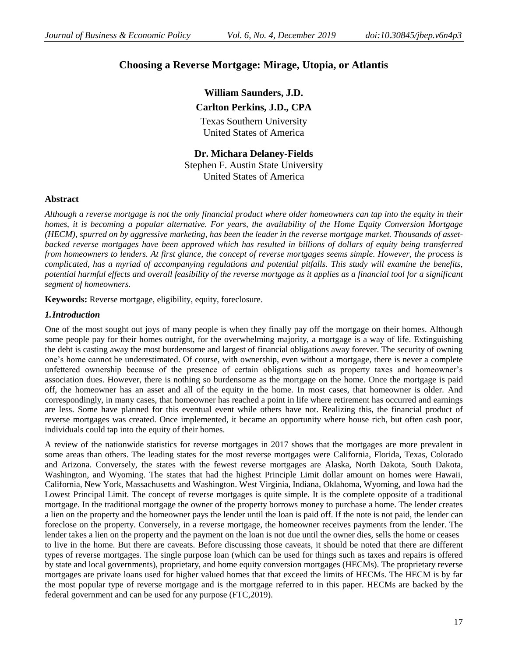## **Choosing a Reverse Mortgage: Mirage, Utopia, or Atlantis**

# **William Saunders, J.D. Carlton Perkins, J.D., CPA**

Texas Southern University United States of America

#### **Dr. Michara Delaney-Fields** Stephen F. Austin State University

United States of America

## **Abstract**

*Although a reverse mortgage is not the only financial product where older homeowners can tap into the equity in their homes, it is becoming a popular alternative. For years, the availability of the Home Equity Conversion Mortgage (HECM), spurred on by aggressive marketing, has been the leader in the reverse mortgage market. Thousands of assetbacked reverse mortgages have been approved which has resulted in billions of dollars of equity being transferred from homeowners to lenders. At first glance, the concept of reverse mortgages seems simple. However, the process is complicated, has a myriad of accompanying regulations and potential pitfalls. This study will examine the benefits, potential harmful effects and overall feasibility of the reverse mortgage as it applies as a financial tool for a significant segment of homeowners.*

**Keywords:** Reverse mortgage, eligibility, equity, foreclosure.

## *1.Introduction*

One of the most sought out joys of many people is when they finally pay off the mortgage on their homes. Although some people pay for their homes outright, for the overwhelming majority, a mortgage is a way of life. Extinguishing the debt is casting away the most burdensome and largest of financial obligations away forever. The security of owning one"s home cannot be underestimated. Of course, with ownership, even without a mortgage, there is never a complete unfettered ownership because of the presence of certain obligations such as property taxes and homeowner"s association dues. However, there is nothing so burdensome as the mortgage on the home. Once the mortgage is paid off, the homeowner has an asset and all of the equity in the home. In most cases, that homeowner is older. And correspondingly, in many cases, that homeowner has reached a point in life where retirement has occurred and earnings are less. Some have planned for this eventual event while others have not. Realizing this, the financial product of reverse mortgages was created. Once implemented, it became an opportunity where house rich, but often cash poor, individuals could tap into the equity of their homes.

A review of the nationwide statistics for reverse mortgages in 2017 shows that the mortgages are more prevalent in some areas than others. The leading states for the most reverse mortgages were California, Florida, Texas, Colorado and Arizona. Conversely, the states with the fewest reverse mortgages are Alaska, North Dakota, South Dakota, Washington, and Wyoming. The states that had the highest Principle Limit dollar amount on homes were Hawaii, California, New York, Massachusetts and Washington. West Virginia, Indiana, Oklahoma, Wyoming, and Iowa had the Lowest Principal Limit. The concept of reverse mortgages is quite simple. It is the complete opposite of a traditional mortgage. In the traditional mortgage the owner of the property borrows money to purchase a home. The lender creates a lien on the property and the homeowner pays the lender until the loan is paid off. If the note is not paid, the lender can foreclose on the property. Conversely, in a reverse mortgage, the homeowner receives payments from the lender. The lender takes a lien on the property and the payment on the loan is not due until the owner dies, sells the home or ceases to live in the home. But there are caveats. Before discussing those caveats, it should be noted that there are different types of reverse mortgages. The single purpose loan (which can be used for things such as taxes and repairs is offered by state and local governments), proprietary, and home equity conversion mortgages (HECMs). The proprietary reverse mortgages are private loans used for higher valued homes that that exceed the limits of HECMs. The HECM is by far the most popular type of reverse mortgage and is the mortgage referred to in this paper. HECMs are backed by the federal government and can be used for any purpose (FTC,2019).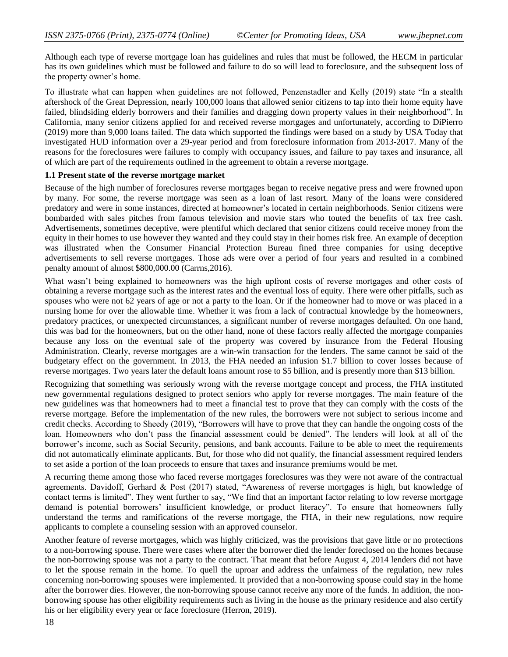Although each type of reverse mortgage loan has guidelines and rules that must be followed, the HECM in particular has its own guidelines which must be followed and failure to do so will lead to foreclosure, and the subsequent loss of the property owner's home.

To illustrate what can happen when guidelines are not followed, Penzenstadler and Kelly (2019) state "In a stealth aftershock of the Great Depression, nearly 100,000 loans that allowed senior citizens to tap into their home equity have failed, blindsiding elderly borrowers and their families and dragging down property values in their neighborhood". In California, many senior citizens applied for and received reverse mortgages and unfortunately, according to DiPierro (2019) more than 9,000 loans failed. The data which supported the findings were based on a study by USA Today that investigated HUD information over a 29-year period and from foreclosure information from 2013-2017. Many of the reasons for the foreclosures were failures to comply with occupancy issues, and failure to pay taxes and insurance, all of which are part of the requirements outlined in the agreement to obtain a reverse mortgage.

#### **1.1 Present state of the reverse mortgage market**

Because of the high number of foreclosures reverse mortgages began to receive negative press and were frowned upon by many. For some, the reverse mortgage was seen as a loan of last resort. Many of the loans were considered predatory and were in some instances, directed at homeowner"s located in certain neighborhoods. Senior citizens were bombarded with sales pitches from famous television and movie stars who touted the benefits of tax free cash. Advertisements, sometimes deceptive, were plentiful which declared that senior citizens could receive money from the equity in their homes to use however they wanted and they could stay in their homes risk free. An example of deception was illustrated when the Consumer Financial Protection Bureau fined three companies for using deceptive advertisements to sell reverse mortgages. Those ads were over a period of four years and resulted in a combined penalty amount of almost \$800,000.00 (Carrns,2016).

What wasn't being explained to homeowners was the high upfront costs of reverse mortgages and other costs of obtaining a reverse mortgage such as the interest rates and the eventual loss of equity. There were other pitfalls, such as spouses who were not 62 years of age or not a party to the loan. Or if the homeowner had to move or was placed in a nursing home for over the allowable time. Whether it was from a lack of contractual knowledge by the homeowners, predatory practices, or unexpected circumstances, a significant number of reverse mortgages defaulted. On one hand, this was bad for the homeowners, but on the other hand, none of these factors really affected the mortgage companies because any loss on the eventual sale of the property was covered by insurance from the Federal Housing Administration. Clearly, reverse mortgages are a win-win transaction for the lenders. The same cannot be said of the budgetary effect on the government. In 2013, the FHA needed an infusion \$1.7 billion to cover losses because of reverse mortgages. Two years later the default loans amount rose to \$5 billion, and is presently more than \$13 billion.

Recognizing that something was seriously wrong with the reverse mortgage concept and process, the FHA instituted new governmental regulations designed to protect seniors who apply for reverse mortgages. The main feature of the new guidelines was that homeowners had to meet a financial test to prove that they can comply with the costs of the reverse mortgage. Before the implementation of the new rules, the borrowers were not subject to serious income and credit checks. According to Sheedy (2019), "Borrowers will have to prove that they can handle the ongoing costs of the loan. Homeowners who don"t pass the financial assessment could be denied". The lenders will look at all of the borrower"s income, such as Social Security, pensions, and bank accounts. Failure to be able to meet the requirements did not automatically eliminate applicants. But, for those who did not qualify, the financial assessment required lenders to set aside a portion of the loan proceeds to ensure that taxes and insurance premiums would be met.

A recurring theme among those who faced reverse mortgages foreclosures was they were not aware of the contractual agreements. Davidoff, Gerhard & Post (2017) stated, "Awareness of reverse mortgages is high, but knowledge of contact terms is limited". They went further to say, "We find that an important factor relating to low reverse mortgage demand is potential borrowers" insufficient knowledge, or product literacy". To ensure that homeowners fully understand the terms and ramifications of the reverse mortgage, the FHA, in their new regulations, now require applicants to complete a counseling session with an approved counselor.

Another feature of reverse mortgages, which was highly criticized, was the provisions that gave little or no protections to a non-borrowing spouse. There were cases where after the borrower died the lender foreclosed on the homes because the non-borrowing spouse was not a party to the contract. That meant that before August 4, 2014 lenders did not have to let the spouse remain in the home. To quell the uproar and address the unfairness of the regulation, new rules concerning non-borrowing spouses were implemented. It provided that a non-borrowing spouse could stay in the home after the borrower dies. However, the non-borrowing spouse cannot receive any more of the funds. In addition, the nonborrowing spouse has other eligibility requirements such as living in the house as the primary residence and also certify his or her eligibility every year or face foreclosure (Herron, 2019).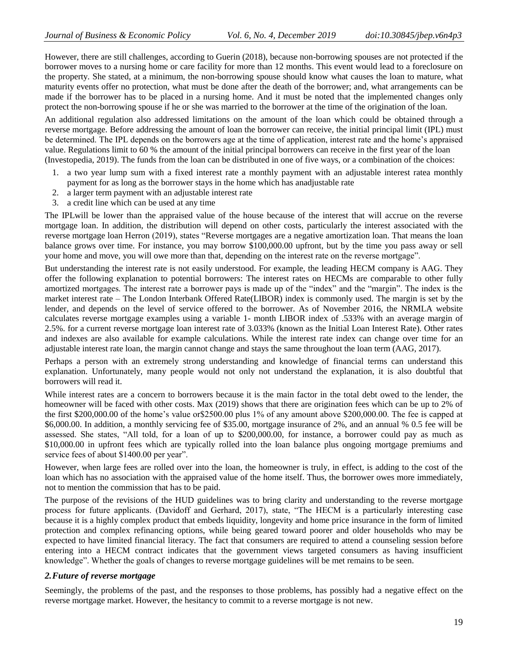However, there are still challenges, according to Guerin (2018), because non-borrowing spouses are not protected if the borrower moves to a nursing home or care facility for more than 12 months. This event would lead to a foreclosure on the property. She stated, at a minimum, the non-borrowing spouse should know what causes the loan to mature, what maturity events offer no protection, what must be done after the death of the borrower; and, what arrangements can be made if the borrower has to be placed in a nursing home. And it must be noted that the implemented changes only protect the non-borrowing spouse if he or she was married to the borrower at the time of the origination of the loan.

An additional regulation also addressed limitations on the amount of the loan which could be obtained through a reverse mortgage. Before addressing the amount of loan the borrower can receive, the initial principal limit (IPL) must be determined. The IPL depends on the borrowers age at the time of application, interest rate and the home"s appraised value. Regulations limit to 60 % the amount of the initial principal borrowers can receive in the first year of the loan (Investopedia, 2019). The funds from the loan can be distributed in one of five ways, or a combination of the choices:

- 1. a two year lump sum with a fixed interest rate a monthly payment with an adjustable interest ratea monthly payment for as long as the borrower stays in the home which has anadjustable rate
- 2. a larger term payment with an adjustable interest rate
- 3. a credit line which can be used at any time

The IPLwill be lower than the appraised value of the house because of the interest that will accrue on the reverse mortgage loan. In addition, the distribution will depend on other costs, particularly the interest associated with the reverse mortgage loan Herron (2019), states "Reverse mortgages are a negative amortization loan. That means the loan balance grows over time. For instance, you may borrow \$100,000.00 upfront, but by the time you pass away or sell your home and move, you will owe more than that, depending on the interest rate on the reverse mortgage".

But understanding the interest rate is not easily understood. For example, the leading HECM company is AAG. They offer the following explanation to potential borrowers: The interest rates on HECMs are comparable to other fully amortized mortgages. The interest rate a borrower pays is made up of the "index" and the "margin". The index is the market interest rate – The London Interbank Offered Rate(LIBOR) index is commonly used. The margin is set by the lender, and depends on the level of service offered to the borrower. As of November 2016, the NRMLA website calculates reverse mortgage examples using a variable 1- month LIBOR index of .533% with an average margin of 2.5%. for a current reverse mortgage loan interest rate of 3.033% (known as the Initial Loan Interest Rate). Other rates and indexes are also available for example calculations. While the interest rate index can change over time for an adjustable interest rate loan, the margin cannot change and stays the same throughout the loan term (AAG, 2017).

Perhaps a person with an extremely strong understanding and knowledge of financial terms can understand this explanation. Unfortunately, many people would not only not understand the explanation, it is also doubtful that borrowers will read it.

While interest rates are a concern to borrowers because it is the main factor in the total debt owed to the lender, the homeowner will be faced with other costs. Max (2019) shows that there are origination fees which can be up to 2% of the first \$200,000.00 of the home's value or\$2500.00 plus 1% of any amount above \$200,000.00. The fee is capped at \$6,000.00. In addition, a monthly servicing fee of \$35.00, mortgage insurance of 2%, and an annual % 0.5 fee will be assessed. She states, "All told, for a loan of up to \$200,000.00, for instance, a borrower could pay as much as \$10,000.00 in upfront fees which are typically rolled into the loan balance plus ongoing mortgage premiums and service fees of about \$1400.00 per year".

However, when large fees are rolled over into the loan, the homeowner is truly, in effect, is adding to the cost of the loan which has no association with the appraised value of the home itself. Thus, the borrower owes more immediately, not to mention the commission that has to be paid.

The purpose of the revisions of the HUD guidelines was to bring clarity and understanding to the reverse mortgage process for future applicants. (Davidoff and Gerhard, 2017), state, "The HECM is a particularly interesting case because it is a highly complex product that embeds liquidity, longevity and home price insurance in the form of limited protection and complex refinancing options, while being geared toward poorer and older households who may be expected to have limited financial literacy. The fact that consumers are required to attend a counseling session before entering into a HECM contract indicates that the government views targeted consumers as having insufficient knowledge". Whether the goals of changes to reverse mortgage guidelines will be met remains to be seen.

#### *2.Future of reverse mortgage*

Seemingly, the problems of the past, and the responses to those problems, has possibly had a negative effect on the reverse mortgage market. However, the hesitancy to commit to a reverse mortgage is not new.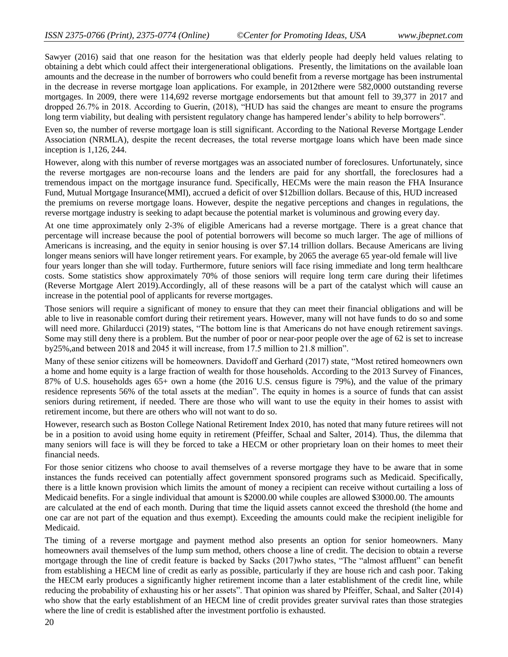Sawyer (2016) said that one reason for the hesitation was that elderly people had deeply held values relating to obtaining a debt which could affect their intergenerational obligations. Presently, the limitations on the available loan amounts and the decrease in the number of borrowers who could benefit from a reverse mortgage has been instrumental in the decrease in reverse mortgage loan applications. For example, in 2012there were 582,0000 outstanding reverse mortgages. In 2009, there were 114,692 reverse mortgage endorsements but that amount fell to 39,377 in 2017 and dropped 26.7% in 2018. According to Guerin, (2018), "HUD has said the changes are meant to ensure the programs long term viability, but dealing with persistent regulatory change has hampered lender's ability to help borrowers".

Even so, the number of reverse mortgage loan is still significant. According to the National Reverse Mortgage Lender Association (NRMLA), despite the recent decreases, the total reverse mortgage loans which have been made since inception is 1,126, 244.

However, along with this number of reverse mortgages was an associated number of foreclosures. Unfortunately, since the reverse mortgages are non-recourse loans and the lenders are paid for any shortfall, the foreclosures had a tremendous impact on the mortgage insurance fund. Specifically, HECMs were the main reason the FHA Insurance Fund, Mutual Mortgage Insurance(MMI), accrued a deficit of over \$12billion dollars. Because of this, HUD increased the premiums on reverse mortgage loans. However, despite the negative perceptions and changes in regulations, the reverse mortgage industry is seeking to adapt because the potential market is voluminous and growing every day.

At one time approximately only 2-3% of eligible Americans had a reverse mortgage. There is a great chance that percentage will increase because the pool of potential borrowers will become so much larger. The age of millions of Americans is increasing, and the equity in senior housing is over \$7.14 trillion dollars. Because Americans are living longer means seniors will have longer retirement years. For example, by 2065 the average 65 year-old female will live four years longer than she will today. Furthermore, future seniors will face rising immediate and long term healthcare costs. Some statistics show approximately 70% of those seniors will require long term care during their lifetimes (Reverse Mortgage Alert 2019).Accordingly, all of these reasons will be a part of the catalyst which will cause an increase in the potential pool of applicants for reverse mortgages.

Those seniors will require a significant of money to ensure that they can meet their financial obligations and will be able to live in reasonable comfort during their retirement years. However, many will not have funds to do so and some will need more. Ghilarducci (2019) states, "The bottom line is that Americans do not have enough retirement savings. Some may still deny there is a problem. But the number of poor or near-poor people over the age of 62 is set to increase by25%,and between 2018 and 2045 it will increase, from 17.5 million to 21.8 million".

Many of these senior citizens will be homeowners. Davidoff and Gerhard (2017) state, "Most retired homeowners own a home and home equity is a large fraction of wealth for those households. According to the 2013 Survey of Finances, 87% of U.S. households ages 65+ own a home (the 2016 U.S. census figure is 79%), and the value of the primary residence represents 56% of the total assets at the median". The equity in homes is a source of funds that can assist seniors during retirement, if needed. There are those who will want to use the equity in their homes to assist with retirement income, but there are others who will not want to do so.

However, research such as Boston College National Retirement Index 2010, has noted that many future retirees will not be in a position to avoid using home equity in retirement (Pfeiffer, Schaal and Salter, 2014). Thus, the dilemma that many seniors will face is will they be forced to take a HECM or other proprietary loan on their homes to meet their financial needs.

For those senior citizens who choose to avail themselves of a reverse mortgage they have to be aware that in some instances the funds received can potentially affect government sponsored programs such as Medicaid. Specifically, there is a little known provision which limits the amount of money a recipient can receive without curtailing a loss of Medicaid benefits. For a single individual that amount is \$2000.00 while couples are allowed \$3000.00. The amounts are calculated at the end of each month. During that time the liquid assets cannot exceed the threshold (the home and one car are not part of the equation and thus exempt). Exceeding the amounts could make the recipient ineligible for Medicaid.

The timing of a reverse mortgage and payment method also presents an option for senior homeowners. Many homeowners avail themselves of the lump sum method, others choose a line of credit. The decision to obtain a reverse mortgage through the line of credit feature is backed by Sacks (2017)who states, "The "almost affluent" can benefit from establishing a HECM line of credit as early as possible, particularly if they are house rich and cash poor. Taking the HECM early produces a significantly higher retirement income than a later establishment of the credit line, while reducing the probability of exhausting his or her assets". That opinion was shared by Pfeiffer, Schaal, and Salter (2014) who show that the early establishment of an HECM line of credit provides greater survival rates than those strategies where the line of credit is established after the investment portfolio is exhausted.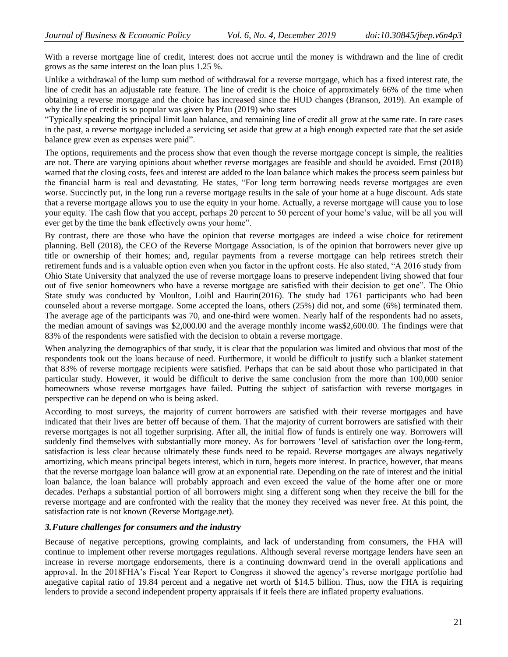With a reverse mortgage line of credit, interest does not accrue until the money is withdrawn and the line of credit grows as the same interest on the loan plus 1.25 %.

Unlike a withdrawal of the lump sum method of withdrawal for a reverse mortgage, which has a fixed interest rate, the line of credit has an adjustable rate feature. The line of credit is the choice of approximately 66% of the time when obtaining a reverse mortgage and the choice has increased since the HUD changes (Branson, 2019). An example of why the line of credit is so popular was given by Pfau (2019) who states

"Typically speaking the principal limit loan balance, and remaining line of credit all grow at the same rate. In rare cases in the past, a reverse mortgage included a servicing set aside that grew at a high enough expected rate that the set aside balance grew even as expenses were paid".

The options, requirements and the process show that even though the reverse mortgage concept is simple, the realities are not. There are varying opinions about whether reverse mortgages are feasible and should be avoided. Ernst (2018) warned that the closing costs, fees and interest are added to the loan balance which makes the process seem painless but the financial harm is real and devastating. He states, "For long term borrowing needs reverse mortgages are even worse. Succinctly put, in the long run a reverse mortgage results in the sale of your home at a huge discount. Ads state that a reverse mortgage allows you to use the equity in your home. Actually, a reverse mortgage will cause you to lose your equity. The cash flow that you accept, perhaps 20 percent to 50 percent of your home's value, will be all you will ever get by the time the bank effectively owns your home".

By contrast, there are those who have the opinion that reverse mortgages are indeed a wise choice for retirement planning. Bell (2018), the CEO of the Reverse Mortgage Association, is of the opinion that borrowers never give up title or ownership of their homes; and, regular payments from a reverse mortgage can help retirees stretch their retirement funds and is a valuable option even when you factor in the upfront costs. He also stated, "A 2016 study from Ohio State University that analyzed the use of reverse mortgage loans to preserve independent living showed that four out of five senior homeowners who have a reverse mortgage are satisfied with their decision to get one". The Ohio State study was conducted by Moulton, Loibl and Haurin(2016). The study had 1761 participants who had been counseled about a reverse mortgage. Some accepted the loans, others (25%) did not, and some (6%) terminated them. The average age of the participants was 70, and one-third were women. Nearly half of the respondents had no assets, the median amount of savings was \$2,000.00 and the average monthly income was\$2,600.00. The findings were that 83% of the respondents were satisfied with the decision to obtain a reverse mortgage.

When analyzing the demographics of that study, it is clear that the population was limited and obvious that most of the respondents took out the loans because of need. Furthermore, it would be difficult to justify such a blanket statement that 83% of reverse mortgage recipients were satisfied. Perhaps that can be said about those who participated in that particular study. However, it would be difficult to derive the same conclusion from the more than 100,000 senior homeowners whose reverse mortgages have failed. Putting the subject of satisfaction with reverse mortgages in perspective can be depend on who is being asked.

According to most surveys, the majority of current borrowers are satisfied with their reverse mortgages and have indicated that their lives are better off because of them. That the majority of current borrowers are satisfied with their reverse mortgages is not all together surprising. After all, the initial flow of funds is entirely one way. Borrowers will suddenly find themselves with substantially more money. As for borrowers "level of satisfaction over the long-term, satisfaction is less clear because ultimately these funds need to be repaid. Reverse mortgages are always negatively amortizing, which means principal begets interest, which in turn, begets more interest. In practice, however, that means that the reverse mortgage loan balance will grow at an exponential rate. Depending on the rate of interest and the initial loan balance, the loan balance will probably approach and even exceed the value of the home after one or more decades. Perhaps a substantial portion of all borrowers might sing a different song when they receive the bill for the reverse mortgage and are confronted with the reality that the money they received was never free. At this point, the satisfaction rate is not known (Reverse Mortgage.net).

#### *3.Future challenges for consumers and the industry*

Because of negative perceptions, growing complaints, and lack of understanding from consumers, the FHA will continue to implement other reverse mortgages regulations. Although several reverse mortgage lenders have seen an increase in reverse mortgage endorsements, there is a continuing downward trend in the overall applications and approval. In the 2018FHA"s Fiscal Year Report to Congress it showed the agency"s reverse mortgage portfolio had anegative capital ratio of 19.84 percent and a negative net worth of \$14.5 billion. Thus, now the FHA is requiring lenders to provide a second independent property appraisals if it feels there are inflated property evaluations.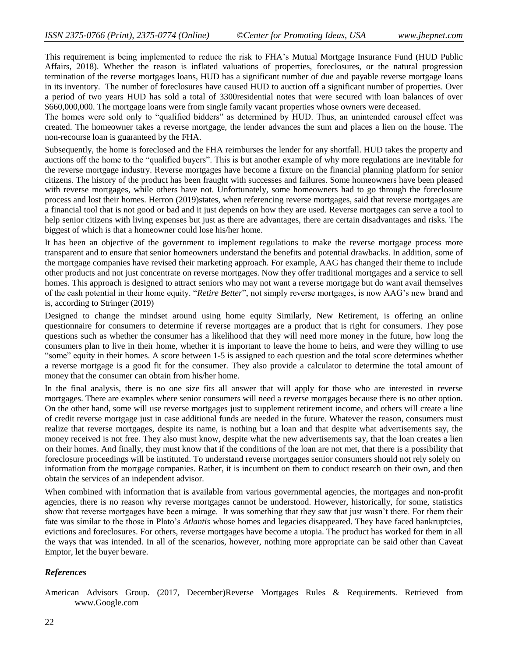This requirement is being implemented to reduce the risk to FHA"s Mutual Mortgage Insurance Fund (HUD Public Affairs, 2018). Whether the reason is inflated valuations of properties, foreclosures, or the natural progression termination of the reverse mortgages loans, HUD has a significant number of due and payable reverse mortgage loans in its inventory. The number of foreclosures have caused HUD to auction off a significant number of properties. Over a period of two years HUD has sold a total of 3300residential notes that were secured with loan balances of over \$660,000,000. The mortgage loans were from single family vacant properties whose owners were deceased.

The homes were sold only to "qualified bidders" as determined by HUD. Thus, an unintended carousel effect was created. The homeowner takes a reverse mortgage, the lender advances the sum and places a lien on the house. The non-recourse loan is guaranteed by the FHA.

Subsequently, the home is foreclosed and the FHA reimburses the lender for any shortfall. HUD takes the property and auctions off the home to the "qualified buyers". This is but another example of why more regulations are inevitable for the reverse mortgage industry. Reverse mortgages have become a fixture on the financial planning platform for senior citizens. The history of the product has been fraught with successes and failures. Some homeowners have been pleased with reverse mortgages, while others have not. Unfortunately, some homeowners had to go through the foreclosure process and lost their homes. Herron (2019)states, when referencing reverse mortgages, said that reverse mortgages are a financial tool that is not good or bad and it just depends on how they are used. Reverse mortgages can serve a tool to help senior citizens with living expenses but just as there are advantages, there are certain disadvantages and risks. The biggest of which is that a homeowner could lose his/her home.

It has been an objective of the government to implement regulations to make the reverse mortgage process more transparent and to ensure that senior homeowners understand the benefits and potential drawbacks. In addition, some of the mortgage companies have revised their marketing approach. For example, AAG has changed their theme to include other products and not just concentrate on reverse mortgages. Now they offer traditional mortgages and a service to sell homes. This approach is designed to attract seniors who may not want a reverse mortgage but do want avail themselves of the cash potential in their home equity. "*Retire Better*", not simply reverse mortgages, is now AAG"s new brand and is, according to Stringer (2019)

Designed to change the mindset around using home equity Similarly, New Retirement, is offering an online questionnaire for consumers to determine if reverse mortgages are a product that is right for consumers. They pose questions such as whether the consumer has a likelihood that they will need more money in the future, how long the consumers plan to live in their home, whether it is important to leave the home to heirs, and were they willing to use "some" equity in their homes. A score between 1-5 is assigned to each question and the total score determines whether a reverse mortgage is a good fit for the consumer. They also provide a calculator to determine the total amount of money that the consumer can obtain from his/her home.

In the final analysis, there is no one size fits all answer that will apply for those who are interested in reverse mortgages. There are examples where senior consumers will need a reverse mortgages because there is no other option. On the other hand, some will use reverse mortgages just to supplement retirement income, and others will create a line of credit reverse mortgage just in case additional funds are needed in the future. Whatever the reason, consumers must realize that reverse mortgages, despite its name, is nothing but a loan and that despite what advertisements say, the money received is not free. They also must know, despite what the new advertisements say, that the loan creates a lien on their homes. And finally, they must know that if the conditions of the loan are not met, that there is a possibility that foreclosure proceedings will be instituted. To understand reverse mortgages senior consumers should not rely solely on information from the mortgage companies. Rather, it is incumbent on them to conduct research on their own, and then obtain the services of an independent advisor.

When combined with information that is available from various governmental agencies, the mortgages and non-profit agencies, there is no reason why reverse mortgages cannot be understood. However, historically, for some, statistics show that reverse mortgages have been a mirage. It was something that they saw that just wasn"t there. For them their fate was similar to the those in Plato"s *Atlantis* whose homes and legacies disappeared. They have faced bankruptcies, evictions and foreclosures. For others, reverse mortgages have become a utopia. The product has worked for them in all the ways that was intended. In all of the scenarios, however, nothing more appropriate can be said other than Caveat Emptor, let the buyer beware.

## *References*

American Advisors Group. (2017, December)Reverse Mortgages Rules & Requirements. Retrieved from [www.Google.com](http://www.google.com/)